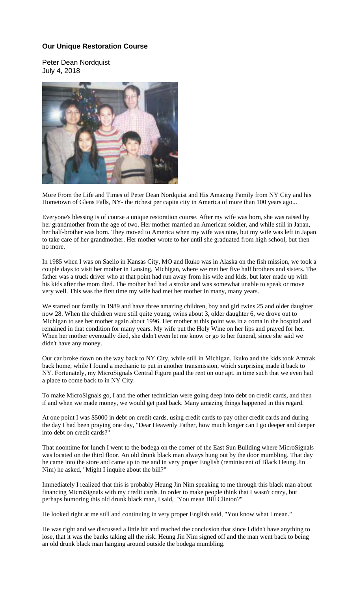## **Our Unique Restoration Course**

Peter Dean Nordquist July 4, 2018



More From the Life and Times of Peter Dean Nordquist and His Amazing Family from NY City and his Hometown of Glens Falls, NY- the richest per capita city in America of more than 100 years ago...

Everyone's blessing is of course a unique restoration course. After my wife was born, she was raised by her grandmother from the age of two. Her mother married an American soldier, and while still in Japan, her half-brother was born. They moved to America when my wife was nine, but my wife was left in Japan to take care of her grandmother. Her mother wrote to her until she graduated from high school, but then no more.

In 1985 when I was on Saeilo in Kansas City, MO and Ikuko was in Alaska on the fish mission, we took a couple days to visit her mother in Lansing, Michigan, where we met her five half brothers and sisters. The father was a truck driver who at that point had run away from his wife and kids, but later made up with his kids after the mom died. The mother had had a stroke and was somewhat unable to speak or move very well. This was the first time my wife had met her mother in many, many years.

We started our family in 1989 and have three amazing children, boy and girl twins 25 and older daughter now 28. When the children were still quite young, twins about 3, older daughter 6, we drove out to Michigan to see her mother again about 1996. Her mother at this point was in a coma in the hospital and remained in that condition for many years. My wife put the Holy Wine on her lips and prayed for her. When her mother eventually died, she didn't even let me know or go to her funeral, since she said we didn't have any money.

Our car broke down on the way back to NY City, while still in Michigan. Ikuko and the kids took Amtrak back home, while I found a mechanic to put in another transmission, which surprising made it back to NY. Fortunately, my MicroSignals Central Figure paid the rent on our apt. in time such that we even had a place to come back to in NY City.

To make MicroSignals go, I and the other technician were going deep into debt on credit cards, and then if and when we made money, we would get paid back. Many amazing things happened in this regard.

At one point I was \$5000 in debt on credit cards, using credit cards to pay other credit cards and during the day I had been praying one day, "Dear Heavenly Father, how much longer can I go deeper and deeper into debt on credit cards?"

That noontime for lunch I went to the bodega on the corner of the East Sun Building where MicroSignals was located on the third floor. An old drunk black man always hung out by the door mumbling. That day he came into the store and came up to me and in very proper English (reminiscent of Black Heung Jin Nim) he asked, "Might I inquire about the bill?"

Immediately I realized that this is probably Heung Jin Nim speaking to me through this black man about financing MicroSignals with my credit cards. In order to make people think that I wasn't crazy, but perhaps humoring this old drunk black man, I said, "You mean Bill Clinton?"

He looked right at me still and continuing in very proper English said, "You know what I mean."

He was right and we discussed a little bit and reached the conclusion that since I didn't have anything to lose, that it was the banks taking all the risk. Heung Jin Nim signed off and the man went back to being an old drunk black man hanging around outside the bodega mumbling.